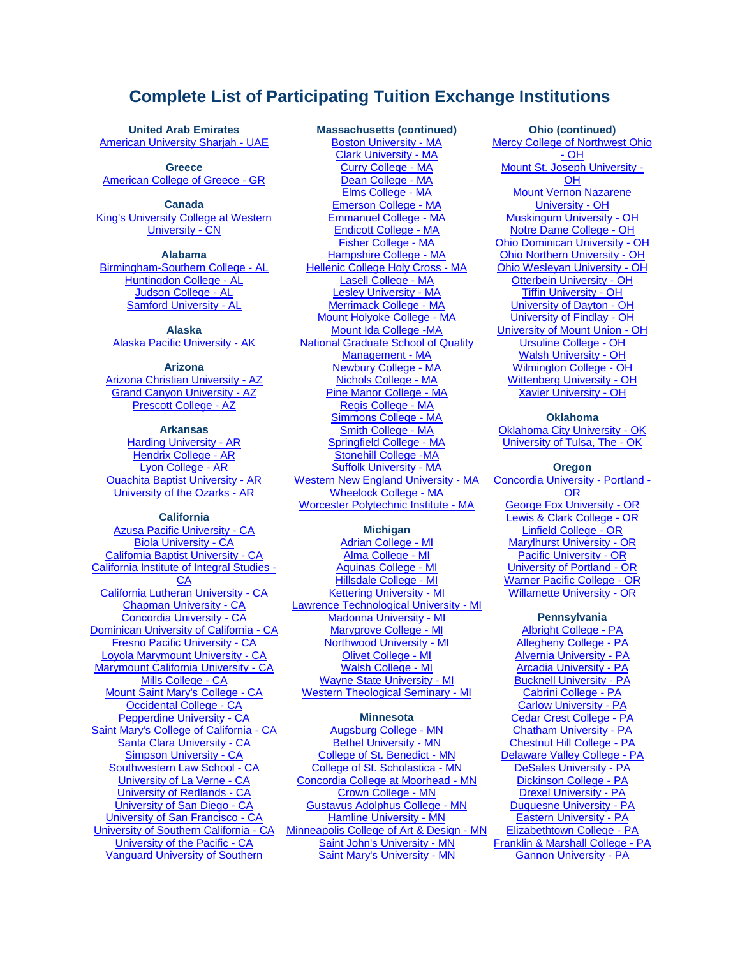# **Complete List of Participating Tuition Exchange Institutions**

**United Arab Emirates** [American University Sharjah -](http://www.aus.edu/) UAE

**Greece [American College of Greece -](http://www.acg.edu/) GR** 

**Canada** [King's University College at Western](http://www.kings.uwo.ca/)  [University -](http://www.kings.uwo.ca/) CN

# **Alabama**

[Birmingham-Southern College -](http://www.bsc.edu/) AL [Huntingdon College -](http://www.huntingdon.edu/) AL [Judson College -](http://www.judson.edu/) AL [Samford University -](http://www.samford.edu/) AL

## **Alaska**

Alaska [Pacific University -](http://www.alaskapacific.edu/) AK

# **Arizona**

[Arizona Christian University -](http://www.arizonachristian.edu/) AZ [Grand Canyon University -](http://www.gcu.edu/) AZ [Prescott College -](http://www.prescott.edu/) AZ

# **Arkansas**

[Harding University -](http://www.harding.edu/) AR [Hendrix College -](http://www.hendrix.edu/) AR [Lyon College -](http://www.lyon.edu/) AR [Ouachita Baptist University -](http://www.obu.edu/) AR [University of the Ozarks -](http://www.ozarks.edu/) AR

## **California**

[Azusa Pacific University -](http://www.apu.edu/) CA [Biola University -](http://www.biola.edu/) CA [California Baptist University -](http://www.calbaptist.edu/) CA [California Institute of Integral Studies -](http://www.ciis.edu/) [CA](http://www.ciis.edu/) [California Lutheran University -](http://www.callutheran.edu/) CA [Chapman University -](http://www.chapman.edu/) CA [Concordia University -](http://www.cui.edu/) CA **[Dominican University of California -](http://www.dominican.edu/) CA** [Fresno Pacific University -](http://www.fresno.edu/) CA [Loyola Marymount University -](http://www.lmu.edu/) CA [Marymount California University -](http://www.marymountcalifornia.edu/) CA [Mills College -](http://www.mills.edu/) CA [Mount Saint Mary's College -](http://www.msmc.la.edu/) CA [Occidental College -](http://www.oxy.edu/) CA [Pepperdine University -](http://www.pepperdine.edu/) CA [Saint Mary's College of California -](http://www.stmarys-ca.edu/) CA [Santa Clara University -](http://www.scu.edu/) CA [Simpson University -](http://www.simpsonu.edu/) CA [Southwestern Law School -](http://www.swlaw.edu/) CA [University of La Verne -](http://www.laverne.edu/) CA [University of Redlands -](http://www.redlands.edu/) CA [University of San Diego -](http://www.sandiego.edu/) CA [University of San Francisco -](http://www.usfca.edu/undergraduate/) CA [University of Southern California -](http://www.usc.edu/) CA [University of the Pacific -](http://www.pacific.edu/) CA [Vanguard University of Southern](http://www.vanguard.edu/) 

# **Massachusetts (continued)**

[Boston University -](http://www.bu.edu/) MA [Clark University -](http://www.clarku.edu/) MA [Curry College -](http://www.curry.edu/) MA [Dean College -](http://www.dean.edu/) MA [Elms College -](http://www.elms.edu/) MA [Emerson College -](http://www.emerson.edu/) MA [Emmanuel College -](http://www.emmanuel.edu/) MA [Endicott College -](http://www.endicott.edu/) MA [Fisher College -](http://www.fisher.edu/) MA [Hampshire College -](http://www.hampshire.edu/) MA [Hellenic College Holy Cross -](http://www.hchc.edu/) MA [Lasell College -](http://www.lasell.edu/) MA [Lesley University -](http://www.lesley.edu/) MA [Merrimack College -](http://www.merrimack.edu/) MA [Mount Holyoke College -](http://www.mtholyoke.edu/) MA [Mount Ida College -MA](http://www.mountida.edu/) [National Graduate School of Quality](http://www.ngs.edu/)  [Management -](http://www.ngs.edu/) MA [Newbury College -](http://www.newbury.edu/) MA [Nichols College -](http://www.nichols.edu/) MA [Pine Manor College -](http://www.pmc.edu/) MA [Regis College -](http://www.regiscollege.edu/) MA [Simmons College -](http://www.simmons.edu/) MA [Smith College -](http://www.smith.edu/hr) MA [Springfield College -](http://www.springfieldcollege.edu/) MA [Stonehill College -MA](http://www.stonehill.edu/) [Suffolk University -](http://www.suffolk.edu/) MA [Western New England University -](http://www.wne.edu/) MA [Wheelock College -](http://www.wheelock.edu/) MA [Worcester Polytechnic Institute -](http://www.wpi.edu/) MA

# **Michigan**

[Adrian College -](http://www.adrian.edu/) MI [Alma College -](http://www.alma.edu/) MI [Aquinas College -](http://www.aquinas.edu/) MI [Hillsdale College -](http://www.hillsdale.edu/) MI [Kettering University -](http://www.kettering.edu/admissions/undergraduate-admissions) MI [Lawrence Technological University -](http://www.ltu.edu/) MI [Madonna University -](http://www.madonna.edu/) MI [Marygrove College -](http://www.marygrove.edu/) MI [Northwood University -](http://www.northwood.edu/) MI [Olivet College -](http://www.olivetcollege.edu/) MI [Walsh College -](http://www.walshcollege.edu/) MI [Wayne State University -](http://www.wayne.edu/) MI [Western Theological Seminary -](http://www.westernsem.edu/) MI

# **Minnesota**

[Augsburg College -](http://www.augsburg.edu/) MN [Bethel University -](https://www.bethel.edu/undergrad/) MN [College of St. Benedict -](http://www.csbsju.edu/) MN [College of St. Scholastica -](http://www.css.edu/) MN [Concordia College at Moorhead -](http://www.cord.edu/) MN [Crown College -](http://www.crown.edu/) MN [Gustavus Adolphus College -](http://www.gustavus.edu/) MN [Hamline University -](http://www.hamline.edu/) MN [Minneapolis College of Art & Design -](http://www.mcad.edu/) MN [Saint John's University -](http://www.csbsju.edu/) MN [Saint Mary's University -](http://www.smumn.edu/) MN

**Ohio (continued)** [Mercy College of Northwest Ohio](http://www.mercycollege.edu/)  - [OH](http://www.mercycollege.edu/) [Mount St. Joseph University -](http://www.msj.edu/)  $\overline{OH}$  $\overline{OH}$  $\overline{OH}$ [Mount Vernon Nazarene](http://www.mvnu.edu/)  [University -](http://www.mvnu.edu/) OH [Muskingum University -](http://www.muskingum.edu/) OH [Notre Dame College -](http://www.notredamecollege.edu/) OH [Ohio Dominican University -](http://www.ohiodominican.edu/) OH [Ohio Northern University -](http://www.onu.edu/) OH [Ohio Wesleyan University -](http://www.owu.edu/) OH [Otterbein University -](http://www.otterbein.edu/) OH [Tiffin University -](http://www.tiffin.edu/) OH [University of Dayton -](http://www.udayton.edu/) OH [University of Findlay -](http://www.findlay.edu/) OH [University of Mount Union -](http://www.mountunion.edu/) OH [Ursuline College -](http://www.ursuline.edu/) OH [Walsh University -](http://www.walsh.edu/) OH [Wilmington College -](http://www.wilmington.edu/) OH [Wittenberg University -](http://www.wittenberg.edu/) OH [Xavier University -](http://www.xavier.edu/) OH

## **Oklahoma**

[Oklahoma City University -](http://www.okcu.edu/) OK [University of Tulsa, The -](http://www.utulsa.edu/) OK

## **Oregon**

[Concordia University -](http://www.cu-portland.edu/) Portland - [OR](http://www.cu-portland.edu/) [George Fox University -](http://www.georgefox.edu/) OR [Lewis & Clark College -](http://www.lclark.edu/) OR [Linfield College -](http://www.linfield.edu/) OR [Marylhurst University -](http://www.marylhurst.edu/) OR [Pacific University -](http://www.pacificu.edu/) OR [University of Portland -](http://www.up.edu/) OR [Warner Pacific College -](http://www.warnerpacific.edu/) OR [Willamette University -](http://www.willamette.edu/) OR

### **Pennsylvania**

[Albright College -](http://www.alb.edu/) PA [Allegheny College -](http://www.allegheny.edu/) PA [Alvernia University -](http://www.alvernia.edu/) PA [Arcadia University -](http://www.arcadia.edu/) PA [Bucknell University -](http://www.bucknell.edu/) PA [Cabrini College -](http://www.cabrini.edu/) PA [Carlow University -](http://www.carlow.edu/) PA [Cedar Crest College -](http://www.cedarcrest.edu/) PA [Chatham University -](http://www.chatham.edu/) PA [Chestnut Hill College -](http://www.chc.edu/) PA [Delaware Valley College -](http://www.delval.edu/) PA [DeSales University -](http://www.desales.edu/) PA [Dickinson College -](http://www.dickinson.edu/) PA [Drexel University -](http://www.drexel.edu/) PA [Duquesne University -](http://www.duq.edu/) PA [Eastern University -](http://www.eastern.edu/) PA [Elizabethtown College -](http://www.etown.edu/) PA [Franklin & Marshall College -](http://www.fandm.edu/) PA [Gannon University -](http://www.gannon.edu/) PA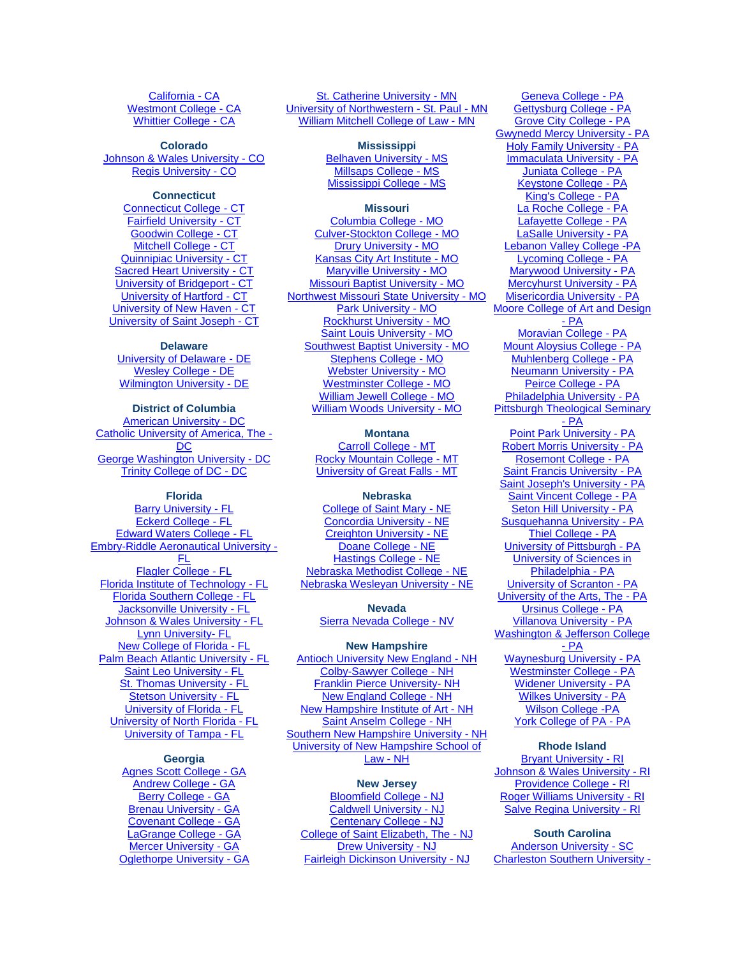[California -](http://www.vanguard.edu/) CA [Westmont College -](http://www.westmont.edu/) CA [Whittier College -](http://www.whittier.edu/) CA

**Colorado** [Johnson & Wales University -](http://www.jwu.edu/) CO [Regis University -](http://www.regis.edu/) CO

#### **Connecticut**

[Connecticut College -](http://www.connecticutcollege.edu/) CT [Fairfield University -](http://www.fairfield.edu/) CT [Goodwin College -](http://www.goodwin.edu/) CT [Mitchell College -](http://www.mitchell.edu/) CT [Quinnipiac University -](http://www.quinnipiac.edu/) CT [Sacred Heart University -](http://www.sacredheart.edu/) CT [University of Bridgeport -](http://www.bridgeport.edu/) CT [University of Hartford -](http://www.hartford.edu/) CT [University of New Haven -](http://www.newhaven.edu/) CT [University of Saint Joseph -](http://www.usj.edu/) CT

# **Delaware**

[University of Delaware -](http://www.udel.edu/) DE [Wesley College -](http://www.wesley.edu/) DE [Wilmington University -](http://www.wilmu.edu/inquiry/mobile/generaldegrees0.aspx?utm_campaign=leadgeneratio&utm_expid=8459971-10.IsMjetobQUuBN3ykuHy0oA.0) DE

**District of Columbia** [American University -](http://american.edu/admissions) DC [Catholic University of America, The -](http://www.cua.edu/) [DC](http://www.cua.edu/) [George Washington University -](http://www.gwu.edu/) DC [Trinity College of DC -](http://www.trinitydc.edu/) DC

# **Florida**

[Barry University -](http://www.barry.edu/) FL [Eckerd College -](http://www.eckerd.edu/) FL [Edward Waters College -](http://www.ewc.edu/) FL [Embry-Riddle Aeronautical University -](http://www.erau.edu/) [FL](http://www.erau.edu/) [Flagler College -](http://www.flagler.edu/) FL [Florida Institute of Technology -](http://www.fit.edu/) FL [Florida Southern College -](http://www.flsouthern.edu/) FL [Jacksonville University -](http://www.ju.edu/) FL [Johnson & Wales University -](http://telo.tuitionexchange.org/http/www.jwu.edu) FL [Lynn University-](http://www.lynn.edu/) FL [New College of Florida -](http://www.ncf.edu/) FL [Palm Beach Atlantic University -](http://www.pba.edu/) FL [Saint Leo University -](http://www.saintleo.edu/) FL **[St. Thomas University -](http://www.stu.edu/) FL [Stetson University -](http://www.stetson.edu/) FL** [University of Florida -](http://www.ufl.edu/) FL [University of North Florida -](http://www.unf.edu/) FL [University of Tampa -](http://www.ut.edu/) FL

#### **Georgia**

[Agnes Scott College -](http://www.agnesscott.edu/) GA [Andrew College -](http://www.andrewcollege.edu/) GA [Berry College -](http://www.berry.edu/) GA [Brenau University -](http://www.brenau.edu/) GA [Covenant College -](http://www.covenant.edu/) GA [LaGrange College](http://www.lagrange.edu/) - GA [Mercer University -](http://www.mercer.edu/) GA [Oglethorpe University -](http://www.oglethorpe.edu/) GA

[St. Catherine University -](http://www.stkate.edu/) MN [University of Northwestern -](http://www.unwsp.edu/) St. Paul - MN [William Mitchell College of](http://www.wmitchell.edu/) Law - MN

> **Mississippi** [Belhaven University -](http://www.belhaven.edu/) MS [Millsaps College -](http://www.millsaps.edu/) MS [Mississippi College -](http://www.mc.edu/) MS

### **Missouri**

[Columbia College -](http://www.ccis.edu/) MO [Culver-Stockton College -](http://www.culver.edu/) MO [Drury University -](http://www.drury.edu/) MO [Kansas City Art Institute -](http://www.kcai.edu/) MO [Maryville University -](http://www.maryville.edu/) MO [Missouri Baptist University -](http://mobap.edu/) MO [Northwest Missouri State University -](http://www.nwmissouri.edu/) MO [Park University -](http://www.park.edu/) MO [Rockhurst University -](http://www.rockhurst.edu/tuitionbenefits) MO [Saint Louis University -](http://www.slu.edu/) MO [Southwest Baptist University -](http://www.sbuniv.edu/) MO [Stephens College -](http://www.stephens.edu/) MO [Webster University -](http://www.webster.edu/) MO [Westminster College -](http://www.westminster-mo.edu/) MO [William Jewell College -](http://www.jewell.edu/) MO [William Woods University -](http://www.williamwoods.edu/) MO

#### **Montana**

[Carroll College -](http://www.carroll.edu/) MT [Rocky Mountain College -](http://www.rocky.edu/) MT [University of Great Falls -](http://www.ugf.edu/) MT

### **Nebraska**

[College of Saint Mary -](http://www.csm.edu/) NE [Concordia University -](http://www.cune.edu/) NE [Creighton University -](http://www.creighton.edu/) NE [Doane College -](http://www.doane.edu/) NE [Hastings College -](http://www.hastings.edu/) NE [Nebraska Methodist College -](http://www.methodistcollege.edu/) NE [Nebraska Wesleyan University -](http://www.nebrwesleyan.edu/) NE

> **Nevada** [Sierra Nevada College -](http://www.sierranevada.edu/) NV

### **New Hampshire**

[Antioch University New England -](http://www.antiochne.edu/) NH [Colby-Sawyer College -](http://www.colby-sawyer.edu/) NH [Franklin Pierce University-](http://www.franklinpierce.edu/) NH [New England College -](http://www.nec.edu/) NH [New Hampshire Institute of Art -](http://www.nhia.edu/) NH [Saint Anselm College -](http://www.anselm.edu/) NH [Southern New Hampshire University -](http://www.snhu.edu/Campus-College-Student.aspx) NH [University of New Hampshire School of](http://www.law.unh.edu/)  [Law -](http://www.law.unh.edu/) NH

# **New Jersey**

[Bloomfield College -](http://www.bloomfield.edu/) NJ [Caldwell University -](http://www.caldwell.edu/) NJ [Centenary College -](http://www.centenarycollege.edu/) NJ [College of Saint Elizabeth, The -](http://www.cse.edu/) NJ [Drew University -](http://www.drew.edu/) NJ [Fairleigh Dickinson University -](http://www.fdu.edu/) NJ

[Geneva College -](http://www.geneva.edu/) PA [Gettysburg College -](http://www.gettysburg.edu/) PA [Grove City College -](http://www.gcc.edu/) PA [Gwynedd Mercy University -](http://www.gmercyu.edu/) PA [Holy Family University -](http://www.holyfamily.edu/) PA [Immaculata University -](http://www.immaculata.edu/) PA [Juniata College -](http://www.juniata.edu/) PA [Keystone College -](http://www.keystone.edu/) PA [King's College -](http://www.kings.edu/) PA [La Roche College -](http://www.laroche.edu/) PA [Lafayette College -](http://www.lafayette.edu/) PA [LaSalle University -](http://www.lasalle.edu/) PA [Lebanon Valley College -PA](http://www.lvc.edu/) [Lycoming College -](http://www.lycoming.edu/) PA [Marywood University -](http://www.marywood.edu/) PA [Mercyhurst University -](http://www.mercyhurst.edu/) PA [Misericordia University -](http://www.misericordia.edu/) PA [Moore College of Art and Design](http://www.moore.edu/)  - [PA](http://www.moore.edu/) [Moravian College -](http://www.moravian.edu/) PA [Mount Aloysius College -](http://www.mtaloy.edu/) PA [Muhlenberg College -](http://www.muhlenberg.edu/) PA [Neumann University -](http://www.neumann.edu/) PA [Peirce College -](http://www.peirce.edu/) PA [Philadelphia University -](http://www.philau.edu/) PA [Pittsburgh Theological Seminary](http://www.pts.edu/)  - [PA](http://www.pts.edu/) [Point Park University -](http://www.pointpark.edu/) PA [Robert Morris University -](http://www.rmu.edu/) PA [Rosemont College -](http://www.rosemont.edu/) PA [Saint Francis University -](http://www.francis.edu/) PA [Saint Joseph's University -](http://www.sju.edu/) PA [Saint Vincent College -](http://www.stvincent.edu/) PA [Seton Hill University -](http://www.setonhill.edu/) PA [Susquehanna University -](http://www.susqu.edu/) PA [Thiel College -](http://www.thiel.edu/) PA [University of Pittsburgh -](http://www.pitt.edu/) PA [University of Sciences in](http://www.usp.edu/)  [Philadelphia -](http://www.usp.edu/) PA [University of Scranton -](http://www.scranton.edu/) PA [University of the Arts, The -](http://www.uarts.edu/) PA [Ursinus College -](http://www.ursinus.edu/) PA [Villanova University -](http://www.villanova.edu/) PA [Washington & Jefferson College](http://www.washjeff.edu/)  - [PA](http://www.washjeff.edu/) [Waynesburg University -](http://www.waynesburg.edu/) PA [Westminster College -](http://www.westminster.edu/) PA [Widener University -](http://www.widener.edu/) PA [Wilkes University -](http://www.wilkes.edu/) PA [Wilson College -PA](http://www.wilson.edu/) [York College of PA -](http://www.ycp.edu/admissions/cost-and-financial-aid/scholarships-and-grants/) PA

#### **Rhode Island**

[Bryant University -](http://www.bryant.edu/) RI [Johnson & Wales University -](http://www.jwu.edu/) RI [Providence College -](http://www.providence.edu/) RI [Roger Williams University -](http://www.rwu.edu/) RI [Salve Regina University -](http://www.salve.edu/) RI

# **South Carolina**

[Anderson University -](http://www.andersonuniversity.edu/) SC [Charleston Southern University](http://www.charlestonsouthern.edu/) -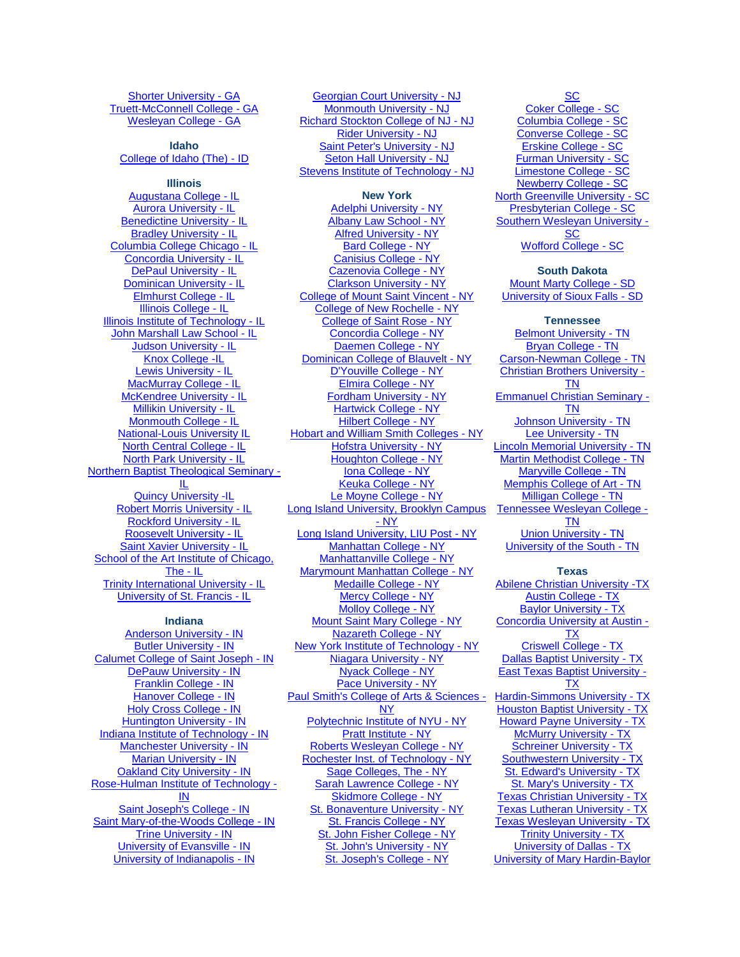# [Shorter University -](http://www.shorter.edu/) GA [Truett-McConnell College -](http://www.truett.edu/) GA [Wesleyan College -](http://www.wesleyancollege.edu/) GA

#### **Idaho** [College of Idaho \(The\) -](http://www.collegeofidaho.edu/) ID

**Illinois**

[Augustana College -](http://www.augustana.edu/) IL [Aurora University -](http://www.aurora.edu/) IL [Benedictine University -](http://www.ben.edu/) IL [Bradley University -](http://www.bradley.edu/) IL [Columbia College Chicago -](http://www.colum.edu/) IL [Concordia University -](http://www.cuchicago.edu/) IL [DePaul University -](http://www.depaul.edu/) IL [Dominican University -](http://www.dom.edu/) IL [Elmhurst College -](http://www.elmhurst.edu/) IL [Illinois College -](http://www.ic.edu/) IL [Illinois Institute of Technology -](http://admission.iit.edu/) IL [John Marshall Law School -](http://www.jmls.edu/) IL [Judson University -](http://www.judsonu.edu/) IL [Knox College -IL](http://www.knox.edu/) [Lewis University -](http://www.lewisu.edu/) IL [MacMurray College -](http://www.mac.edu/) IL [McKendree University -](http://www.mckendree.edu/) IL [Millikin University -](http://www.millikin.edu/) IL [Monmouth College -](http://www.monmouthcollege.edu/) IL [National-Louis University IL](http://www.nl.edu/) [North Central College -](http://www.northcentralcollege.edu/) IL [North Park University -](http://www.northpark.edu/) IL [Northern Baptist Theological Seminary -](http://www.seminary.edu/) [IL](http://www.seminary.edu/) [Quincy University -IL](http://www.quincy.edu/) [Robert Morris University -](http://www.robertmorris.edu/) IL [Rockford University -](http://www.rockford.edu/) IL [Roosevelt University -](http://www.roosevelt.edu/) IL [Saint Xavier University -](http://www.sxu.edu/) IL School of the Art Institute of Chicago, [The -](http://www.saic.edu/) IL [Trinity International University -](http://www.tiu.edu/) IL [University of St. Francis -](http://www.stfrancis.edu/) IL

#### **Indiana**

[Anderson University -](http://www.anderson.edu/) IN [Butler University -](http://www.butler.edu/) IN [Calumet College of Saint Joseph -](http://www.ccsj.edu/) IN [DePauw University -](http://telo.tuitionexchange.org/www.depauw.edu) IN [Franklin College -](http://www.franklincollege.edu/) IN [Hanover College -](http://www.hanover.edu/) IN [Holy Cross College -](http://www.hcc-nd.edu/) IN [Huntington University -](http://www.huntington.edu/) IN [Indiana Institute of Technology -](http://www.indianatech.edu/) IN [Manchester University -](http://www.manchester.edu/) IN [Marian University -](http://www.marian.edu/) IN [Oakland City University -](http://www.oak.edu/) IN [Rose-Hulman Institute of Technology -](http://www.rose-hulman.edu/) [IN](http://www.rose-hulman.edu/) [Saint Joseph's College -](http://www.saintjoe.edu/) IN [Saint Mary-of-the-Woods College -](http://www.smwc.edu/) IN [Trine University -](http://www.trine.edu/) IN [University of Evansville -](http://www.evansville.edu/) IN [University of Indianapolis -](http://www.uindy.edu/) IN

[Georgian Court University -](http://www.georgian.edu/) NJ [Monmouth University -](http://www.monmouth.edu/) NJ [Richard Stockton College of NJ -](http://intraweb.stockton.edu/eyos/page.cfm?siteID=197&pageID=5&layout=hp) NJ [Rider University -](http://www.rider.edu/) NJ [Saint Peter's University -](http://www.saintpeters.edu/) NJ [Seton Hall University -](http://www.shu.edu/) NJ [Stevens Institute of Technology -](http://www.stevens.edu/) NJ

# **New York**

[Adelphi University -](http://www.adelphi.edu/) NY [Albany Law School -](http://www.albanylaw.edu/) NY [Alfred University -](http://www.alfred.edu/) NY [Bard College -](http://www.bard.edu/) NY [Canisius College -](http://www.canisius.edu/) NY [Cazenovia College -](http://www.cazenovia.edu/) NY [Clarkson University -](http://www.clarkson.edu/) NY [College of Mount Saint Vincent -](http://www.mountsaintvincent.edu/) NY [College of New Rochelle -](http://www.cnr.edu/) NY [College of Saint Rose -](http://www.strose.edu/) NY [Concordia College -](http://www.concordia-ny.edu/) NY [Daemen College -](http://www.daemen.edu/) NY [Dominican College of Blauvelt -](http://www.dc.edu/) NY [D'Youville College -](http://www.dyc.edu/) NY [Elmira College -](http://www.elmira.edu/) NY [Fordham University -](http://www.fordham.edu/) NY [Hartwick College -](http://www.hartwick.edu/) NY [Hilbert College -](http://www.hilbert.edu/) NY [Hobart and William Smith Colleges -](http://www.hws.edu/) NY [Hofstra University -](http://www.hofstra.edu/) NY [Houghton College -](http://www.houghton.edu/) NY [Iona College -](http://www.iona.edu/) NY [Keuka College -](http://www.keuka.edu/) NY [Le Moyne College -](http://www.lemoyne.edu/) NY [Long Island University, Brooklyn Campus](http://www.brooklyn.liu.edu/)  - [NY](http://www.brooklyn.liu.edu/) [Long Island University, LIU Post -](http://www.liu.edu/) NY [Manhattan College -](http://www.manhattan.edu/) NY [Manhattanville College -](http://www.mville.edu/) NY [Marymount Manhattan College -](http://www.mmm.edu/) NY [Medaille College -](http://www.medaille.edu/) NY [Mercy College -](http://www.mercy.edu/) NY [Molloy College -](http://www.molloy.edu/) NY [Mount Saint Mary College -](http://www.msmc.edu/) NY [Nazareth College -](http://www.naz.edu/) NY [New York Institute of Technology -](http://www.nyit.edu/) NY [Niagara University -](http://www.niagara.edu/) NY [Nyack College -](http://www.nyack.edu/) NY [Pace University -](http://www.pace.edu/) NY [Paul Smith's College of Arts & Sciences -](http://www.paulsmiths.edu/) [NY](http://www.paulsmiths.edu/) [Polytechnic Institute of NYU -](http://www.poly.edu/) NY [Pratt Institute -](http://www.pratt.edu/) NY [Roberts Wesleyan College -](http://www.roberts.edu/) NY [Rochester Inst. of Technology -](http://www.rit.edu/) NY [Sage Colleges, The -](http://www.sage.edu/html/rsc/welcome.html) NY [Sarah Lawrence College -](http://www.slc.edu/) NY [Skidmore College -](http://www.skidmore.edu/) NY [St. Bonaventure University -](http://www.sbu.edu/) NY [St. Francis College -](http://www.sfc.edu/) NY [St. John Fisher College -](http://www.sjfc.edu/admissions) NY [St. John's University -](http://www.stjohns.edu/) NY

[St. Joseph's College -](http://www.sjcny.edu/) NY

**[SC](http://www.charlestonsouthern.edu/)** [Coker College -](http://www.coker.edu/) SC [Columbia College -](http://www.columbiasc.edu/) SC [Converse College -](http://www.converse.edu/) SC [Erskine College -](http://www.erskine.edu/) SC [Furman University -](http://www.furman.edu/) SC [Limestone College -](http://www.limestone.edu/) SC [Newberry](http://www.newberry.edu/) College - SC [North Greenville University -](http://www.ngu.edu/) SC [Presbyterian College -](http://www.presby.edu/) SC [Southern Wesleyan University -](http://www.swu.edu/) **[SC](http://www.swu.edu/)** 

[Wofford College -](http://www.wofford.edu/) SC

# **South Dakota**

[Mount Marty College -](http://www.mtmc.edu/) SD [University of Sioux Falls -](http://www.usiouxfalls.edu/) SD

#### **Tennessee**

[Belmont University -](http://www.belmont.edu/) TN [Bryan College -](http://www.bryan.edu/) TN [Carson-Newman College -](http://www.cn.edu/) TN [Christian Brothers University -](http://www.cbu.edu/) [TN](http://www.cbu.edu/) [Emmanuel Christian Seminary -](http://www.ecs.edu/) [TN](http://www.ecs.edu/) [Johnson University -](http://www.johnsonu.edu/) TN [Lee University -](http://www.leeuniversity.edu/) TN [Lincoln Memorial University -](http://www.lmunet.edu/) TN [Martin Methodist College -](http://www.martinmethodist.edu/) TN [Maryville College -](http://www.maryvillecollege.edu/) TN [Memphis College of Art -](http://www.mca.edu/) TN [Milligan College -](http://www.milligan.edu/) TN [Tennessee Wesleyan College -](http://www.twcnet.edu/) [TN](http://www.twcnet.edu/) [Union University -](http://www.uu.edu/) TN [University of the South -](http://admission.sewanee.edu/apply/) TN

### **Texas**

[Abilene Christian University -TX](http://www.acu.edu/) [Austin College -](http://www.austincollege.edu/) TX [Baylor University -](http://www.baylor.edu/admissions) TX [Concordia University at Austin -](http://www.concordia.edu/) [TX](http://www.concordia.edu/) [Criswell College -](http://www.criswell.edu/) TX [Dallas Baptist University -](http://www.dbu.edu/) TX [East Texas Baptist University -](http://www.etbu.edu/) [TX](http://www.etbu.edu/) **[Hardin-Simmons University -](http://www.hsutx.edu/) TX** [Houston Baptist University -](http://www.hbu.edu/) TX [Howard Payne University -](http://www.hputx.edu/) TX [McMurry University -](http://www.mcm.edu/) TX [Schreiner University -](http://www.schreiner.edu/) TX [Southwestern University -](http://www.southwestern.edu/) TX [St. Edward's University -](http://www.stedwards.edu/) TX [St. Mary's University -](http://www.stmarytx.edu/) TX [Texas Christian University -](http://www.tcu.edu/) TX [Texas Lutheran University -](http://www.tlu.edu/) TX [Texas Wesleyan University -](http://www.txwesleyan.edu/) TX [Trinity University -](http://www.trinity.edu/) TX [University of Dallas -](http://www.udallas.edu/futurestudents/admiss) TX [University of Mary Hardin-Baylor](http://www.umhb.edu/)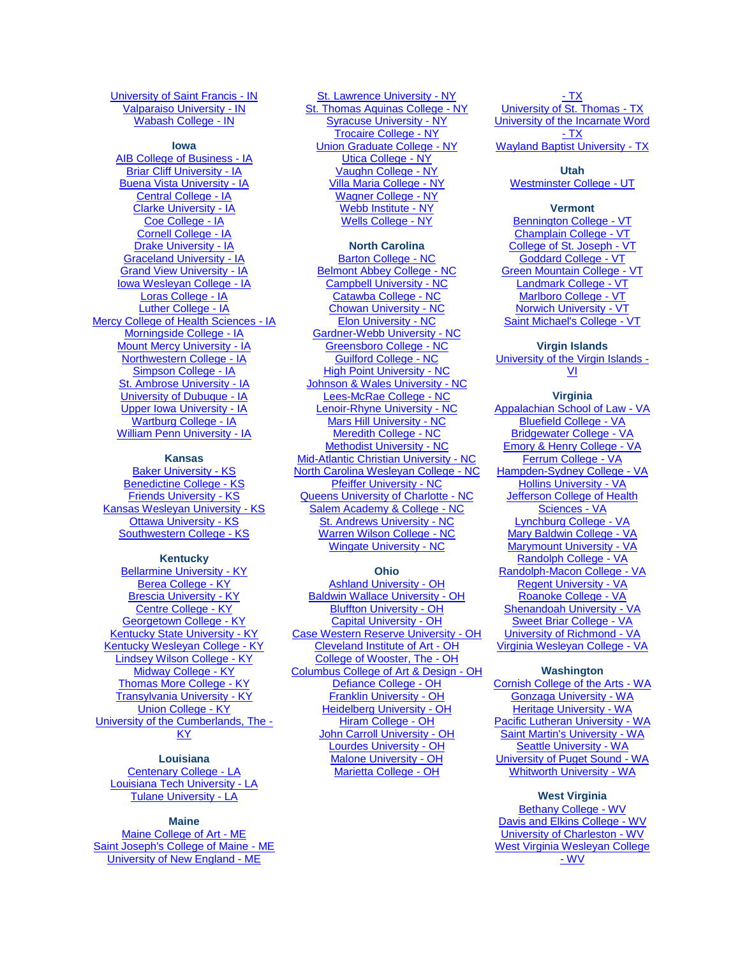[University of Saint Francis -](http://www.sf.edu/) IN [Valparaiso University -](http://www.valpo.edu/) IN [Wabash College -](http://www.wabash.edu/) IN

#### **Iowa**

[AIB College of Business -](http://www.aib.edu/) IA Briar [Cliff University -](http://www.briarcliff.edu/) IA [Buena Vista University -](http://www.bvu.edu/) IA [Central College -](http://www.central.edu/) IA [Clarke University -](http://www.clarke.edu/) IA [Coe College -](http://www.coe.edu/) IA [Cornell College -](http://www.cornellcollege.edu/) IA [Drake University -](http://www.drake.edu/) IA [Graceland University -](http://www.graceland.edu/) IA [Grand View University -](http://www.grandview.edu/) IA [Iowa Wesleyan College -](http://www.iwc.edu/) IA [Loras College -](http://www.loras.edu/) IA [Luther College -](http://www.luther.edu/) IA [Mercy College of Health Sciences -](http://www.mchs.edu/) IA [Morningside College -](http://www.morningside.edu/) IA [Mount Mercy University -](http://www.mtmercy.edu/) IA [Northwestern College -](http://www.nwiowa.edu/) IA [Simpson College -](http://www.simpson.edu/) IA [St. Ambrose University -](http://www.sau.edu/) IA [University of Dubuque -](http://www.dbq.edu/) IA [Upper Iowa University -](http://www.uiu.edu/) IA [Wartburg College -](http://www.wartburg.edu/) IA [William Penn University -](http://www.wmpenn.edu/) IA

#### **Kansas**

[Baker University -](http://www.bakeru.edu/) KS [Benedictine College -](http://www.benedictine.edu/) KS [Friends University -](http://www.friends.edu/) KS [Kansas Wesleyan University -](http://www.kwu.edu/) KS **[Ottawa University -](http://www.ottawa.edu/) KS** [Southwestern College -](http://www.sckans.edu/) KS

#### **Kentucky**

[Bellarmine University -](http://www.bellarmine.edu/) KY [Berea College -](http://www.berea.edu/) KY [Brescia University -](http://www.brescia.edu/) KY [Centre College -](http://www.centre.edu/) KY [Georgetown College -](http://www.georgetowncollege.edu/) KY [Kentucky State University -](http://www.kysu.edu/) KY [Kentucky Wesleyan College -](http://www.kwc.edu/) KY [Lindsey Wilson College -](http://www.lindsey.edu/) KY [Midway College -](http://www.midway.edu/) KY [Thomas More College -](http://www.thomasmore.edu/) KY **[Transylvania University -](http://www.transy.edu/) KY** [Union College -](http://www.unionky.edu/) KY [University of the Cumberlands, The -](http://www.ucumberlands.edu/) [KY](http://www.ucumberlands.edu/)

**Louisiana** [Centenary College -](http://www.centenary.edu/) LA [Louisiana Tech University -](http://www.latech.edu/) LA [Tulane University -](http://www.tulane.edu/) LA

#### **Maine**

[Maine College of Art -](http://meca.edu/) ME [Saint Joseph's College of Maine -](http://www.sjcme.edu/) ME [University of New England -](http://www.une.edu/) ME

[St. Lawrence University -](http://www.stlawu.edu/) NY [St. Thomas Aquinas College -](http://www.stac.edu/) NY [Syracuse University -](http://www.syr.edu/financialaid/scholarships/tuition_exchange.html) NY [Trocaire College -](http://www.trocaire.edu/) NY [Union Graduate College -](http://www.uniongraduatecollege.edu/) NY [Utica College -](http://www.utica.edu/) NY [Vaughn College -](http://www.vaughn.edu/) NY [Villa Maria College -](http://www.villa.edu/) NY [Wagner College -](http://www.wagner.edu/) NY [Webb Institute -](http://www.webb.edu/) NY [Wells College -](http://www.wells.edu/) NY

#### **North Carolina**

[Barton College -](http://www.barton.edu/) NC [Belmont Abbey College -](http://www.bac.edu/) NC [Campbell University -](http://www.campbell.edu/) NC [Catawba College -](http://www.catawba.edu/) NC [Chowan University -](http://www.chowan.edu/) NC [Elon University -](http://www.elon.edu/) NC [Gardner-Webb University -](http://www.gardner-webb.edu/) NC [Greensboro College -](http://www.greensboro.edu/) NC [Guilford College -](http://www.guilford.edu/) NC **[High Point University -](http://www.highpoint.edu/) NC** [Johnson & Wales University -](http://www.jwu.edu/) NC [Lees-McRae College -](http://www.lmc.edu/) NC [Lenoir-Rhyne University -](http://www.lr.edu/) NC [Mars Hill University -](http://www.mhc.edu/) NC [Meredith College -](http://www.meredith.edu/) NC [Methodist University -](http://www.methodist.edu/) NC [Mid-Atlantic Christian University -](http://www.macuniversity.edu/) NC [North Carolina Wesleyan College -](http://www.ncwc.edu/) NC [Pfeiffer University -](http://www.pfeiffer.edu/) NC [Queens University of Charlotte -](http://www.queens.edu/) NC [Salem Academy & College -](http://www.salem.edu/) NC [St. Andrews University -](http://www.sapc.edu/) NC [Warren Wilson College -](http://www.warren-wilson.edu/) NC [Wingate University -](http://www.wingate.edu/) NC

# **Ohio**

[Ashland University -](http://www.ashland.edu/) OH [Baldwin Wallace University -](http://www.bw.edu/) OH [Bluffton University -](http://www.bluffton.edu/) OH [Capital University -](http://www.capital.edu/) OH [Case Western Reserve University -](http://www.case.edu/) OH [Cleveland Institute of Art -](http://www.cia.edu/) OH [College of Wooster, The -](http://www.wooster.edu/) OH [Columbus College of Art & Design -](http://www.ccad.edu/) OH [Defiance College -](http://www.defiance.edu/) OH [Franklin University -](http://www.franklin.edu/) OH [Heidelberg University -](http://www.heidelberg.edu/) OH [Hiram College -](http://www.hiram.edu/) OH [John Carroll University -](http://www.jcu.edu/) OH [Lourdes University -](http://www.lourdes.edu/) OH [Malone University -](http://www.malone.edu/) OH [Marietta College -](http://www.marietta.edu/) OH

- T $\underline{X}$ [University of St. Thomas -](http://www.stthom.edu/) TX [University of the Incarnate Word](http://www.uiw.edu/)  <u>- [TX](http://www.uiw.edu/)</u> [Wayland Baptist University -](http://www.wbu.edu/) TX

#### **Utah**

[Westminster College -](http://www.westminstercollege.edu/) UT

# **Vermont**

[Bennington College -](http://www.bennington.edu/) VT [Champlain College -](http://www.champlain.edu/) VT [College of St. Joseph -](http://www.csj.edu/) VT [Goddard College -](http://www.goddard.edu/) VT [Green Mountain College -](http://admissions.greenmtn.edu/) VT [Landmark College -](http://www.landmark.edu/) VT [Marlboro College -](http://www.marlboro.edu/) VT [Norwich University -](http://www.norwich.edu/) VT [Saint Michael's College -](http://www.smcvt.edu/) VT

# **Virgin Islands**

[University of the Virgin Islands -](http://www.uvi.edu/) [VI](http://www.uvi.edu/)

#### **Virginia**

[Appalachian School of Law -](http://www.asl.edu/) VA [Bluefield College -](http://www.bluefield.edu/) VA [Bridgewater College -](http://www.bridgewater.edu/) VA [Emory & Henry College -](http://www.ehc.edu/) VA [Ferrum College -](http://www.ferrum.edu/) VA [Hampden-Sydney College -](http://www.hsc.edu/) VA [Hollins University -](http://www.hollins.edu/) VA [Jefferson College of Health](http://www.jchs.edu/)  [Sciences -](http://www.jchs.edu/) VA [Lynchburg College -](http://www.lynchburg.edu/) VA [Mary Baldwin College -](http://www.mbc.edu/) VA [Marymount University -](http://www.marymount.edu/) VA [Randolph College -](http://www.randolphcollege.edu/) VA [Randolph-Macon College -](http://www.rmc.edu/) VA [Regent University -](http://www.regent.edu/registrar) VA [Roanoke College -](http://www.roanoke.edu/) VA [Shenandoah University -](http://www.su.edu/) VA [Sweet Briar College -](http://www.sbc.edu/) VA [University of Richmond -](http://www.richmond.edu/) VA [Virginia Wesleyan College -](http://www.vwc.edu/) VA

#### **Washington**

[Cornish College of the Arts -](http://www.cornish.edu/) WA [Gonzaga University -](http://www.gonzaga.edu/) WA [Heritage University -](http://www.heritage.edu/) WA [Pacific Lutheran University -](http://www.plu.edu/) WA [Saint Martin's University -](http://www.stmartin.edu/) WA [Seattle University -](http://www.seattleu.edu/) WA [University of Puget Sound -](http://www.pugetsound.edu/) WA [Whitworth University -](http://www.whitworth.edu/) WA

#### **West Virginia**

[Bethany College -](http://www.bethanywv.edu/) WV [Davis and Elkins College -](http://www.dewv.edu/) WV [University of Charleston -](http://www.ucwv.edu/) WV [West Virginia Wesleyan College](http://www.wvwc.edu/)  - [WV](http://www.wvwc.edu/)